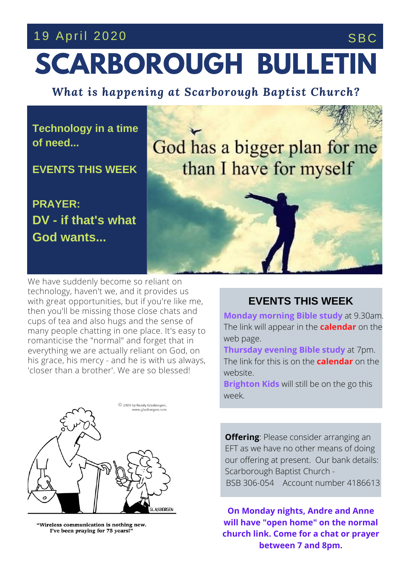## 19 April 2020 SBC



*What is happening at Scarborough Baptist Church?*

**Technology in a time of need...**

**EVENTS THIS WEEK**

**PRAYER: DV - if that's what God wants...**

God has a bigger plan for me than I have for myself

his grace, his mercy - and he is with us always, **MORE** CHAIR & MORE We have suddenly become so reliant on technology, haven't we, and it provides us with great opportunities, but if you're like me, then you'll be missing those close chats and cups of tea and also hugs and the sense of many people chatting in one place. It's easy to romanticise the "normal" and forget that in everything we are actually reliant on God, on 'closer than a brother'. We are so blessed!



"Wireless communication is nothing new. I've been praying for 75 years!'

## **EVENTS THIS WEEK**

**Monday morning Bible study** at 9.30am. The link will appear in the **calendar** on the web page.

**Thursday evening Bible study** at 7pm. The link for this is on the **calendar** on the website.

**Brighton Kids** will still be on the go this week.

**Offering**: Please consider arranging an EFT as we have no other means of doing our offering at present. Our bank details: Scarborough Baptist Church - BSB 306-054 Account number 4186613

**On Monday nights, Andre and Anne will have "open home" on the normal church link. Come for a chat or prayer between 7 and 8pm.**